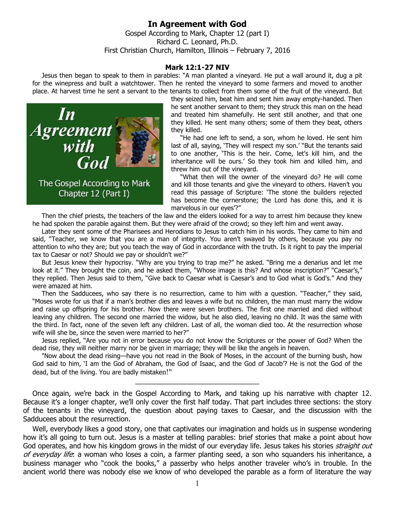**In Agreement with God**  Gospel According to Mark, Chapter 12 (part I) Richard C. Leonard, Ph.D. First Christian Church, Hamilton, Illinois – February 7, 2016

## **Mark 12:1-27 NIV**

Jesus then began to speak to them in parables: "A man planted a vineyard. He put a wall around it, dug a pit for the winepress and built a watchtower. Then he rented the vineyard to some farmers and moved to another place. At harvest time he sent a servant to the tenants to collect from them some of the fruit of the vineyard. But



they seized him, beat him and sent him away empty-handed. Then he sent another servant to them; they struck this man on the head and treated him shamefully. He sent still another, and that one they killed. He sent many others; some of them they beat, others they killed.

"He had one left to send, a son, whom he loved. He sent him last of all, saying, 'They will respect my son.' "But the tenants said to one another, 'This is the heir. Come, let's kill him, and the inheritance will be ours.' So they took him and killed him, and threw him out of the vineyard.

"What then will the owner of the vineyard do? He will come and kill those tenants and give the vineyard to others. Haven't you read this passage of Scripture: 'The stone the builders rejected has become the cornerstone; the Lord has done this, and it is marvelous in our eyes'?"

Then the chief priests, the teachers of the law and the elders looked for a way to arrest him because they knew he had spoken the parable against them. But they were afraid of the crowd; so they left him and went away.

Later they sent some of the Pharisees and Herodians to Jesus to catch him in his words. They came to him and said, "Teacher, we know that you are a man of integrity. You aren't swayed by others, because you pay no attention to who they are; but you teach the way of God in accordance with the truth. Is it right to pay the imperial tax to Caesar or not? Should we pay or shouldn't we?"

But Jesus knew their hypocrisy. "Why are you trying to trap me?" he asked. "Bring me a denarius and let me look at it." They brought the coin, and he asked them, "Whose image is this? And whose inscription?" "Caesar's," they replied. Then Jesus said to them, "Give back to Caesar what is Caesar's and to God what is God's." And they were amazed at him.

Then the Sadducees, who say there is no resurrection, came to him with a question. "Teacher," they said, "Moses wrote for us that if a man's brother dies and leaves a wife but no children, the man must marry the widow and raise up offspring for his brother. Now there were seven brothers. The first one married and died without leaving any children. The second one married the widow, but he also died, leaving no child. It was the same with the third. In fact, none of the seven left any children. Last of all, the woman died too. At the resurrection whose wife will she be, since the seven were married to her?"

Jesus replied, "Are you not in error because you do not know the Scriptures or the power of God? When the dead rise, they will neither marry nor be given in marriage; they will be like the angels in heaven.

"Now about the dead rising—have you not read in the Book of Moses, in the account of the burning bush, how God said to him, 'I am the God of Abraham, the God of Isaac, and the God of Jacob'? He is not the God of the dead, but of the living. You are badly mistaken!"

\_\_\_\_\_\_\_\_\_\_\_\_\_\_\_\_\_\_\_\_\_\_\_\_\_\_\_\_\_\_\_\_

Once again, we're back in the Gospel According to Mark, and taking up his narrative with chapter 12. Because it's a longer chapter, we'll only cover the first half today. That part includes three sections: the story of the tenants in the vineyard, the question about paying taxes to Caesar, and the discussion with the Sadducees about the resurrection.

Well, everybody likes a good story, one that captivates our imagination and holds us in suspense wondering how it's all going to turn out. Jesus is a master at telling parables: brief stories that make a point about how God operates, and how his kingdom grows in the midst of our everyday life. Jesus takes his stories *straight out* of everyday life: a woman who loses a coin, a farmer planting seed, a son who squanders his inheritance, a business manager who "cook the books," a passerby who helps another traveler who's in trouble. In the ancient world there was nobody else we know of who developed the parable as a form of literature the way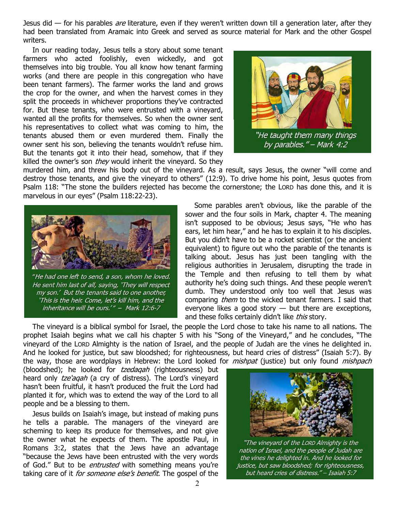Jesus did — for his parables *are* literature, even if they weren't written down till a generation later, after they had been translated from Aramaic into Greek and served as source material for Mark and the other Gospel writers.

In our reading today, Jesus tells a story about some tenant farmers who acted foolishly, even wickedly, and got themselves into big trouble. You all know how tenant farming works (and there are people in this congregation who have been tenant farmers). The farmer works the land and grows the crop for the owner, and when the harvest comes in they split the proceeds in whichever proportions they've contracted for. But these tenants, who were entrusted with a vineyard, wanted all the profits for themselves. So when the owner sent his representatives to collect what was coming to him, the tenants abused them or even murdered them. Finally the owner sent his son, believing the tenants wouldn't refuse him. But the tenants got it into their head, somehow, that if they killed the owner's son *they* would inherit the vineyard. So they



by parables." - Mark 4:2

murdered him, and threw his body out of the vineyard. As a result, says Jesus, the owner "will come and destroy those tenants, and give the vineyard to others" (12:9). To drive home his point, Jesus quotes from Psalm 118: "The stone the builders rejected has become the cornerstone; the LORD has done this, and it is marvelous in our eyes" (Psalm 118:22-23).



"He had one left to send, a son, whom he loved. He sent him last of all, saying, 'They will respect my son.' But the tenants said to one another, 'This is the heir. Come, let's kill him, and the inheritance will be ours.'" - Mark 12:6-7

Some parables aren't obvious, like the parable of the sower and the four soils in Mark, chapter 4. The meaning isn't supposed to be obvious; Jesus says, "He who has ears, let him hear," and he has to explain it to his disciples. But you didn't have to be a rocket scientist (or the ancient equivalent) to figure out who the parable of the tenants is talking about. Jesus has just been tangling with the religious authorities in Jerusalem, disrupting the trade in the Temple and then refusing to tell them by what authority he's doing such things. And these people weren't dumb. They understood only too well that Jesus was comparing *them* to the wicked tenant farmers. I said that everyone likes a good story  $-$  but there are exceptions, and these folks certainly didn't like this story.

The vineyard is a biblical symbol for Israel, the people the Lord chose to take his name to all nations. The prophet Isaiah begins what we call his chapter 5 with his "Song of the Vineyard," and he concludes, "The vineyard of the LORD Almighty is the nation of Israel, and the people of Judah are the vines he delighted in. And he looked for justice, but saw bloodshed; for righteousness, but heard cries of distress" (Isaiah 5:7). By the way, those are wordplays in Hebrew: the Lord looked for *mishpat* (justice) but only found *mishpach* 

(bloodshed); he looked for tzedaqah (righteousness) but heard only tze'agah (a cry of distress). The Lord's vineyard hasn't been fruitful, it hasn't produced the fruit the Lord had planted it for, which was to extend the way of the Lord to all people and be a blessing to them.

Jesus builds on Isaiah's image, but instead of making puns he tells a parable. The managers of the vineyard are scheming to keep its produce for themselves, and not give the owner what he expects of them. The apostle Paul, in Romans 3:2, states that the Jews have an advantage "because the Jews have been entrusted with the very words of God." But to be *entrusted* with something means you're taking care of it *for someone else's benefit*. The gospel of the



"The vineyard of the LORD Almighty is the nation of Israel, and the people of Judah are the vines he delighted in. And he looked for justice, but saw bloodshed; for righteousness, but heard cries of distress." - Isaiah 5:7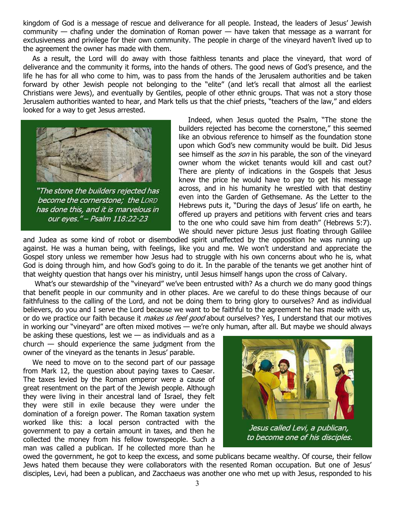kingdom of God is a message of rescue and deliverance for all people. Instead, the leaders of Jesus' Jewish community — chafing under the domination of Roman power — have taken that message as a warrant for exclusiveness and privilege for their own community. The people in charge of the vineyard haven't lived up to the agreement the owner has made with them.

As a result, the Lord will do away with those faithless tenants and place the vineyard, that word of deliverance and the community it forms, into the hands of others. The good news of God's presence, and the life he has for all who come to him, was to pass from the hands of the Jerusalem authorities and be taken forward by other Jewish people not belonging to the "elite" (and let's recall that almost all the earliest Christians were Jews), and eventually by Gentiles, people of other ethnic groups. That was not a story those Jerusalem authorities wanted to hear, and Mark tells us that the chief priests, "teachers of the law," and elders looked for a way to get Jesus arrested.



"The stone the builders rejected has become the cornerstone; the LORD has done this, and it is marvelous in our eyes." - Psalm 118:22-23

Indeed, when Jesus quoted the Psalm, "The stone the builders rejected has become the cornerstone," this seemed like an obvious reference to himself as the foundation stone upon which God's new community would be built. Did Jesus see himself as the *son* in his parable, the son of the vineyard owner whom the wicket tenants would kill and cast out? There are plenty of indications in the Gospels that Jesus knew the price he would have to pay to get his message across, and in his humanity he wrestled with that destiny even into the Garden of Gethsemane. As the Letter to the Hebrews puts it, "During the days of Jesus' life on earth, he offered up prayers and petitions with fervent cries and tears to the one who could save him from death" (Hebrews 5:7). We should never picture Jesus just floating through Galilee

and Judea as some kind of robot or disembodied spirit unaffected by the opposition he was running up against. He was a human being, with feelings, like you and me. We won't understand and appreciate the Gospel story unless we remember how Jesus had to struggle with his own concerns about who he is, what God is doing through him, and how God's going to do it. In the parable of the tenants we get another hint of that weighty question that hangs over his ministry, until Jesus himself hangs upon the cross of Calvary.

 What's our stewardship of the "vineyard" we've been entrusted with? As a church we do many good things that benefit people in our community and in other places. Are we careful to do these things because of our faithfulness to the calling of the Lord, and not be doing them to bring glory to ourselves? And as individual believers, do you and I serve the Lord because we want to be faithful to the agreement he has made with us, or do we practice our faith because it *makes us feel good* about ourselves? Yes, I understand that our motives in working our "vineyard" are often mixed motives — we're only human, after all. But maybe we should always

be asking these questions, lest we  $-$  as individuals and as a  $church$  — should experience the same judgment from the owner of the vineyard as the tenants in Jesus' parable.

We need to move on to the second part of our passage from Mark 12, the question about paying taxes to Caesar. The taxes levied by the Roman emperor were a cause of great resentment on the part of the Jewish people. Although they were living in their ancestral land of Israel, they felt they were still in exile because they were under the domination of a foreign power. The Roman taxation system worked like this: a local person contracted with the government to pay a certain amount in taxes, and then he collected the money from his fellow townspeople. Such a man was called a publican. If he collected more than he



owed the government, he got to keep the excess, and some publicans became wealthy. Of course, their fellow Jews hated them because they were collaborators with the resented Roman occupation. But one of Jesus' disciples, Levi, had been a publican, and Zacchaeus was another one who met up with Jesus, responded to his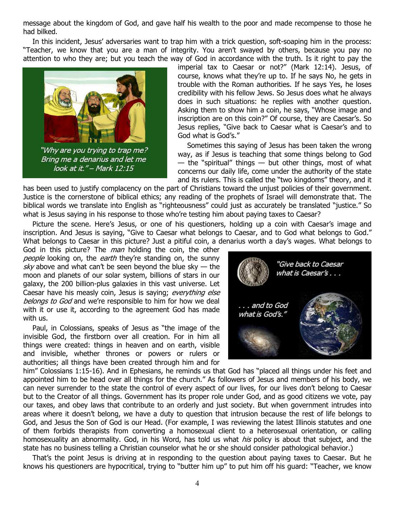message about the kingdom of God, and gave half his wealth to the poor and made recompense to those he had bilked.

In this incident, Jesus' adversaries want to trap him with a trick question, soft-soaping him in the process: "Teacher, we know that you are a man of integrity. You aren't swayed by others, because you pay no attention to who they are; but you teach the way of God in accordance with the truth. Is it right to pay the



"Why are you trying to trap me? Bring me a denarius and let me look at it." - Mark 12:15

imperial tax to Caesar or not?" (Mark 12:14). Jesus, of course, knows what they're up to. If he says No, he gets in trouble with the Roman authorities. If he says Yes, he loses credibility with his fellow Jews. So Jesus does what he always does in such situations: he replies with another question. Asking them to show him a coin, he says, "Whose image and inscription are on this coin?" Of course, they are Caesar's. So Jesus replies, "Give back to Caesar what is Caesar's and to God what is God's."

Sometimes this saying of Jesus has been taken the wrong way, as if Jesus is teaching that some things belong to God  $-$  the "spiritual" things  $-$  but other things, most of what concerns our daily life, come under the authority of the state and its rulers. This is called the "two kingdoms" theory, and it

has been used to justify complacency on the part of Christians toward the unjust policies of their government. Justice is the cornerstone of biblical ethics; any reading of the prophets of Israel will demonstrate that. The biblical words we translate into English as "righteousness" could just as accurately be translated "justice." So what is Jesus saying in his response to those who're testing him about paying taxes to Caesar?

Picture the scene. Here's Jesus, or one of his questioners, holding up a coin with Caesar's image and inscription. And Jesus is saying, "Give to Caesar what belongs to Caesar, and to God what belongs to God." What belongs to Caesar in this picture? Just a pitiful coin, a denarius worth a day's wages. What belongs to

God in this picture? The *man* holding the coin, the other people looking on, the earth they're standing on, the sunny sky above and what can't be seen beyond the blue sky  $-$  the moon and planets of our solar system, billions of stars in our galaxy, the 200 billion-plus galaxies in this vast universe. Let Caesar have his measly coin, Jesus is saying; everything else belongs to God and we're responsible to him for how we deal with it or use it, according to the agreement God has made with us.

Paul, in Colossians, speaks of Jesus as "the image of the invisible God, the firstborn over all creation. For in him all things were created: things in heaven and on earth, visible and invisible, whether thrones or powers or rulers or authorities; all things have been created through him and for



him" Colossians 1:15-16). And in Ephesians, he reminds us that God has "placed all things under his feet and appointed him to be head over all things for the church." As followers of Jesus and members of his body, we can never surrender to the state the control of every aspect of our lives, for our lives don't belong to Caesar but to the Creator of all things. Government has its proper role under God, and as good citizens we vote, pay our taxes, and obey laws that contribute to an orderly and just society. But when government intrudes into areas where it doesn't belong, we have a duty to question that intrusion because the rest of life belongs to God, and Jesus the Son of God is our Head. (For example, I was reviewing the latest Illinois statutes and one of them forbids therapists from converting a homosexual client to a heterosexual orientation, or calling homosexuality an abnormality. God, in his Word, has told us what *his* policy is about that subject, and the state has no business telling a Christian counselor what he or she should consider pathological behavior.)

That's the point Jesus is driving at in responding to the question about paying taxes to Caesar. But he knows his questioners are hypocritical, trying to "butter him up" to put him off his guard: "Teacher, we know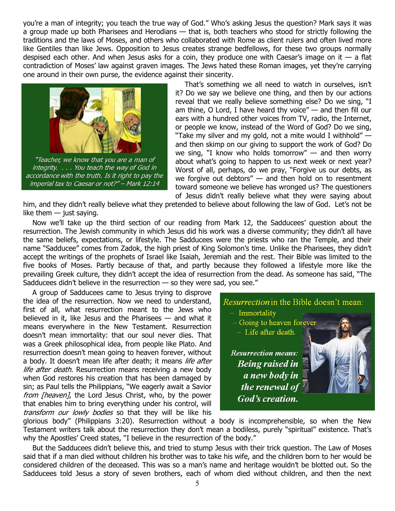you're a man of integrity; you teach the true way of God." Who's asking Jesus the question? Mark says it was a group made up both Pharisees and Herodians — that is, both teachers who stood for strictly following the traditions and the laws of Moses, and others who collaborated with Rome as client rulers and often lived more like Gentiles than like Jews. Opposition to Jesus creates strange bedfellows, for these two groups normally despised each other. And when Jesus asks for a coin, they produce one with Caesar's image on it  $-$  a flat contradiction of Moses' law against graven images. The Jews hated these Roman images, yet they're carrying one around in their own purse, the evidence against their sincerity.



"Teacher, we know that you are a man of integrity. . . . You teach the way of God in accordance with the truth. Is it right to pay the imperial tax to Caesar or not?" - Mark 12:14

That's something we all need to watch in ourselves, isn't it? Do we say we believe one thing, and then by our actions reveal that we really believe something else? Do we sing, "I am thine, O Lord, I have heard thy voice" — and then fill our ears with a hundred other voices from TV, radio, the Internet, or people we know, instead of the Word of God? Do we sing, "Take my silver and my gold, not a mite would I withhold"  $$ and then skimp on our giving to support the work of God? Do we sing, "I know who holds tomorrow" — and then worry about what's going to happen to us next week or next year? Worst of all, perhaps, do we pray, "Forgive us our debts, as we forgive out debtors" — and then hold on to resentment toward someone we believe has wronged us? The questioners of Jesus didn't really believe what they were saying about

him, and they didn't really believe what they pretended to believe about following the law of God. Let's not be like them  $-$  just saying.

Now we'll take up the third section of our reading from Mark 12, the Sadducees' question about the resurrection. The Jewish community in which Jesus did his work was a diverse community; they didn't all have the same beliefs, expectations, or lifestyle. The Sadducees were the priests who ran the Temple, and their name "Sadducee" comes from Zadok, the high priest of King Solomon's time. Unlike the Pharisees, they didn't accept the writings of the prophets of Israel like Isaiah, Jeremiah and the rest. Their Bible was limited to the five books of Moses. Partly because of that, and partly because they followed a lifestyle more like the prevailing Greek culture, they didn't accept the idea of resurrection from the dead. As someone has said, "The Sadducees didn't believe in the resurrection  $-$  so they were sad, you see."

A group of Sadducees came to Jesus trying to disprove the idea of the resurrection. Now we need to understand, first of all, what resurrection meant to the Jews who believed in it, like Jesus and the Pharisees — and what it means everywhere in the New Testament. Resurrection doesn't mean immortality: that our soul never dies. That was a Greek philosophical idea, from people like Plato. And resurrection doesn't mean going to heaven forever, without a body. It doesn't mean life after death; it means life after life after death. Resurrection means receiving a new body when God restores his creation that has been damaged by sin; as Paul tells the Philippians, "We eagerly await a Savior from [heaven], the Lord Jesus Christ, who, by the power that enables him to bring everything under his control, will transform our lowly bodies so that they will be like his



glorious body" (Philippians 3:20). Resurrection without a body is incomprehensible, so when the New Testament writers talk about the resurrection they don't mean a bodiless, purely "spiritual" existence. That's why the Apostles' Creed states, "I believe in the resurrection of the body."

But the Sadducees didn't believe this, and tried to stump Jesus with their trick question. The Law of Moses said that if a man died without children his brother was to take his wife, and the children born to her would be considered children of the deceased. This was so a man's name and heritage wouldn't be blotted out. So the Sadducees told Jesus a story of seven brothers, each of whom died without children, and then the next